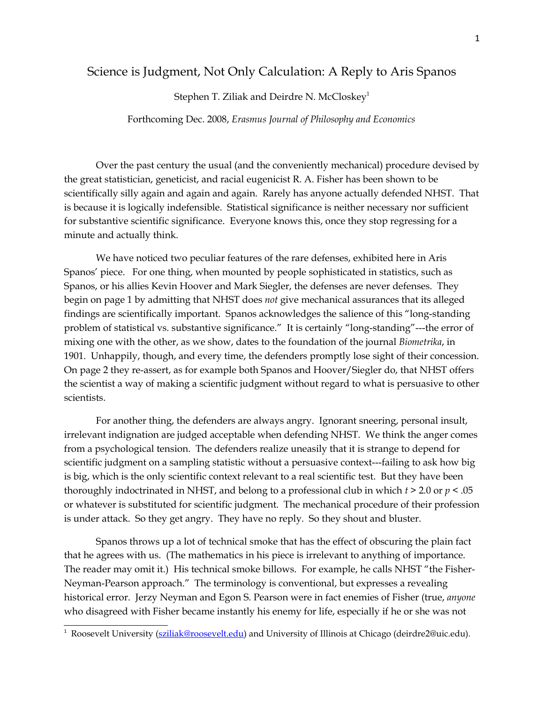## Science is Judgment, Not Only Calculation: A Reply to Aris Spanos

Stephen T. Ziliak and Deirdre N. McCloskey<sup>[1](#page-0-0)</sup>

Forthcoming Dec. 2008, *Erasmus Journal of Philosophy and Economics*

Over the past century the usual (and the conveniently mechanical) procedure devised by the great statistician, geneticist, and racial eugenicist R. A. Fisher has been shown to be scientifically silly again and again and again. Rarely has anyone actually defended NHST. That is because it is logically indefensible. Statistical significance is neither necessary nor sufficient for substantive scientific significance. Everyone knows this, once they stop regressing for a minute and actually think.

We have noticed two peculiar features of the rare defenses, exhibited here in Aris Spanos' piece. For one thing, when mounted by people sophisticated in statistics, such as Spanos, or his allies Kevin Hoover and Mark Siegler, the defenses are never defenses. They begin on page 1 by admitting that NHST does *not* give mechanical assurances that its alleged findings are scientifically important. Spanos acknowledges the salience of this "long-standing problem of statistical vs. substantive significance." It is certainly "long-standing"---the error of mixing one with the other, as we show, dates to the foundation of the journal *Biometrika*, in 1901. Unhappily, though, and every time, the defenders promptly lose sight of their concession. On page 2 they re-assert, as for example both Spanos and Hoover/Siegler do, that NHST offers the scientist a way of making a scientific judgment without regard to what is persuasive to other scientists.

For another thing, the defenders are always angry. Ignorant sneering, personal insult, irrelevant indignation are judged acceptable when defending NHST. We think the anger comes from a psychological tension. The defenders realize uneasily that it is strange to depend for scientific judgment on a sampling statistic without a persuasive context---failing to ask how big is big, which is the only scientific context relevant to a real scientific test. But they have been thoroughly indoctrinated in NHST, and belong to a professional club in which *t* > 2.0 or *p* < .05 or whatever is substituted for scientific judgment. The mechanical procedure of their profession is under attack. So they get angry. They have no reply. So they shout and bluster.

Spanos throws up a lot of technical smoke that has the effect of obscuring the plain fact that he agrees with us. (The mathematics in his piece is irrelevant to anything of importance. The reader may omit it.) His technical smoke billows. For example, he calls NHST "the Fisher-Neyman-Pearson approach." The terminology is conventional, but expresses a revealing historical error. Jerzy Neyman and Egon S. Pearson were in fact enemies of Fisher (true, *anyone* who disagreed with Fisher became instantly his enemy for life, especially if he or she was not

<span id="page-0-0"></span><sup>&</sup>lt;sup>1</sup> Roosevelt University [\(sziliak@roosevelt.edu\)](mailto:sziliak@roosevelt.edu) and University of Illinois at Chicago (deirdre2@uic.edu).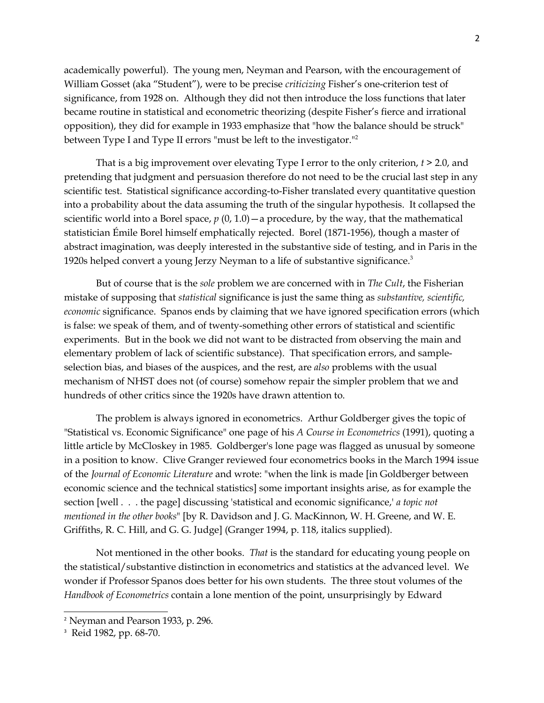academically powerful). The young men, Neyman and Pearson, with the encouragement of William Gosset (aka "Student"), were to be precise *criticizing* Fisher's one-criterion test of significance, from 1928 on. Although they did not then introduce the loss functions that later became routine in statistical and econometric theorizing (despite Fisher's fierce and irrational opposition), they did for example in 1933 emphasize that "how the balance should be struck" between Type I and Type II errors "must be left to the investigator."[2](#page-1-0)

That is a big improvement over elevating Type I error to the only criterion, *t* > 2.0, and pretending that judgment and persuasion therefore do not need to be the crucial last step in any scientific test.Statistical significance according-to-Fisher translated every quantitative question into a probability about the data assuming the truth of the singular hypothesis. It collapsed the scientific world into a Borel space,  $p(0, 1.0)$  – a procedure, by the way, that the mathematical statistician Émile Borel himself emphatically rejected. Borel (1871-1956), though a master of abstract imagination, was deeply interested in the substantive side of testing, and in Paris in the 1920s helped convert a young Jerzy Neyman to a life of substantive significance.<sup>[3](#page-1-1)</sup>

But of course that is the *sole* problem we are concerned with in *The Cult*, the Fisherian mistake of supposing that *statistical* significance is just the same thing as *substantive, scientific, economic* significance. Spanos ends by claiming that we have ignored specification errors (which is false: we speak of them, and of twenty-something other errors of statistical and scientific experiments. But in the book we did not want to be distracted from observing the main and elementary problem of lack of scientific substance). That specification errors, and sampleselection bias, and biases of the auspices, and the rest, are *also* problems with the usual mechanism of NHST does not (of course) somehow repair the simpler problem that we and hundreds of other critics since the 1920s have drawn attention to.

The problem is always ignored in econometrics. Arthur Goldberger gives the topic of "Statistical vs. Economic Significance" one page of his *A Course in Econometrics* (1991), quoting a little article by McCloskey in 1985. Goldberger's lone page was flagged as unusual by someone in a position to know. Clive Granger reviewed four econometrics books in the March 1994 issue of the *Journal of Economic Literature* and wrote: "when the link is made [in Goldberger between economic science and the technical statistics] some important insights arise, as for example the section [well . . . the page] discussing 'statistical and economic significance,' *a topic not mentioned in the other books*" [by R. Davidson and J. G. MacKinnon, W. H. Greene, and W. E. Griffiths, R. C. Hill, and G. G. Judge] (Granger 1994, p. 118, italics supplied).

Not mentioned in the other books. *That* is the standard for educating young people on the statistical/substantive distinction in econometrics and statistics at the advanced level. We wonder if Professor Spanos does better for his own students. The three stout volumes of the *Handbook of Econometrics* contain a lone mention of the point, unsurprisingly by Edward

<span id="page-1-0"></span><sup>2</sup> Neyman and Pearson 1933, p. 296.

<span id="page-1-1"></span><sup>3</sup> Reid 1982, pp. 68-70.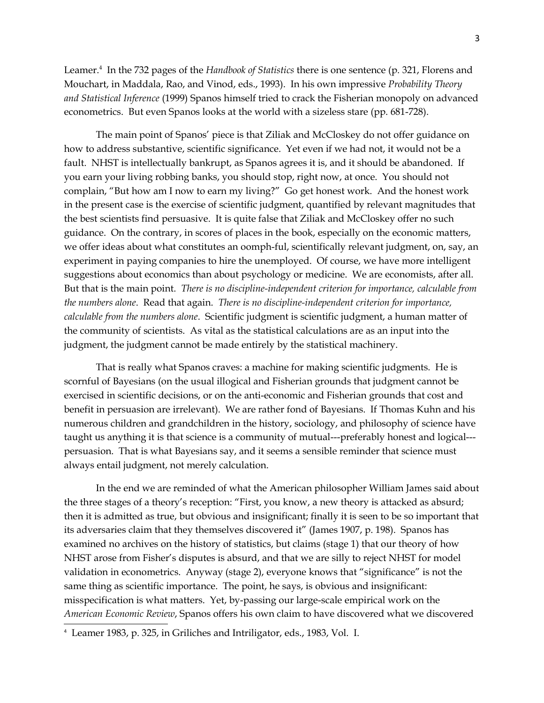Leamer.[4](#page-2-0) In the 732 pages of the *Handbook of Statistics* there is one sentence (p. 321, Florens and Mouchart, in Maddala, Rao, and Vinod, eds., 1993). In his own impressive *Probability Theory and Statistical Inference* (1999) Spanos himself tried to crack the Fisherian monopoly on advanced econometrics. But even Spanos looks at the world with a sizeless stare (pp. 681-728).

The main point of Spanos' piece is that Ziliak and McCloskey do not offer guidance on how to address substantive, scientific significance. Yet even if we had not, it would not be a fault. NHST is intellectually bankrupt, as Spanos agrees it is, and it should be abandoned. If you earn your living robbing banks, you should stop, right now, at once. You should not complain, "But how am I now to earn my living?" Go get honest work. And the honest work in the present case is the exercise of scientific judgment, quantified by relevant magnitudes that the best scientists find persuasive. It is quite false that Ziliak and McCloskey offer no such guidance. On the contrary, in scores of places in the book, especially on the economic matters, we offer ideas about what constitutes an oomph-ful, scientifically relevant judgment, on, say, an experiment in paying companies to hire the unemployed. Of course, we have more intelligent suggestions about economics than about psychology or medicine. We are economists, after all. But that is the main point. *There is no discipline-independent criterion for importance, calculable from the numbers alone*. Read that again. *There is no discipline-independent criterion for importance, calculable from the numbers alone*. Scientific judgment is scientific judgment, a human matter of the community of scientists. As vital as the statistical calculations are as an input into the judgment, the judgment cannot be made entirely by the statistical machinery.

That is really what Spanos craves: a machine for making scientific judgments. He is scornful of Bayesians (on the usual illogical and Fisherian grounds that judgment cannot be exercised in scientific decisions, or on the anti-economic and Fisherian grounds that cost and benefit in persuasion are irrelevant). We are rather fond of Bayesians. If Thomas Kuhn and his numerous children and grandchildren in the history, sociology, and philosophy of science have taught us anything it is that science is a community of mutual---preferably honest and logical-- persuasion. That is what Bayesians say, and it seems a sensible reminder that science must always entail judgment, not merely calculation.

In the end we are reminded of what the American philosopher William James said about the three stages of a theory's reception: "First, you know, a new theory is attacked as absurd; then it is admitted as true, but obvious and insignificant; finally it is seen to be so important that its adversaries claim that they themselves discovered it" (James 1907, p. 198). Spanos has examined no archives on the history of statistics, but claims (stage 1) that our theory of how NHST arose from Fisher's disputes is absurd, and that we are silly to reject NHST for model validation in econometrics. Anyway (stage 2), everyone knows that "significance" is not the same thing as scientific importance. The point, he says, is obvious and insignificant: misspecification is what matters. Yet, by-passing our large-scale empirical work on the *American Economic Review*, Spanos offers his own claim to have discovered what we discovered

<span id="page-2-0"></span><sup>4</sup> Leamer 1983, p. 325, in Griliches and Intriligator, eds., 1983, Vol. I.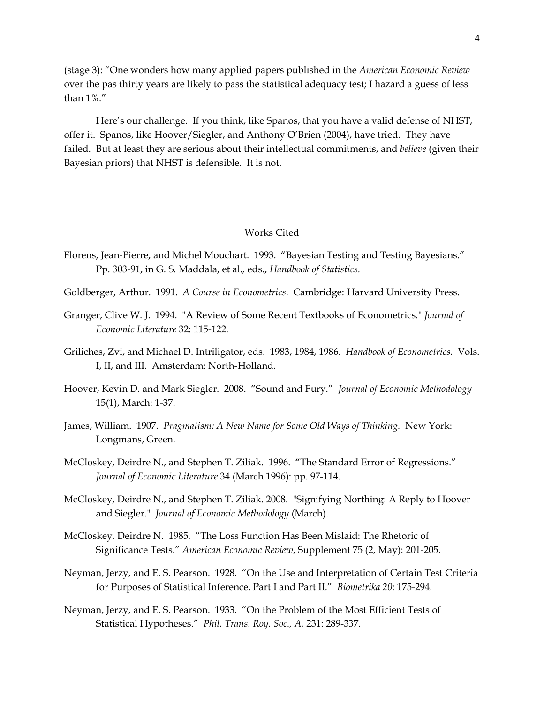(stage 3): "One wonders how many applied papers published in the *American Economic Review* over the pas thirty years are likely to pass the statistical adequacy test; I hazard a guess of less than 1%."

Here's our challenge. If you think, like Spanos, that you have a valid defense of NHST, offer it. Spanos, like Hoover/Siegler, and Anthony O'Brien (2004), have tried. They have failed. But at least they are serious about their intellectual commitments, and *believe* (given their Bayesian priors) that NHST is defensible. It is not.

## Works Cited

- Florens, Jean-Pierre, and Michel Mouchart. 1993. "Bayesian Testing and Testing Bayesians." Pp. 303-91, in G. S. Maddala, et al.*,* eds., *Handbook of Statistics.*
- Goldberger, Arthur. 1991. *A Course in Econometrics*. Cambridge: Harvard University Press.
- Granger, Clive W. J. 1994. "A Review of Some Recent Textbooks of Econometrics." *Journal of Economic Literature* 32: 115-122.
- Griliches, Zvi, and Michael D. Intriligator, eds. 1983, 1984, 1986. *Handbook of Econometrics.* Vols. I, II, and III. Amsterdam: North-Holland.
- Hoover, Kevin D. and Mark Siegler. 2008. "Sound and Fury." *Journal of Economic Methodology* 15(1), March: 1-37.
- James, William. 1907. *Pragmatism: A New Name for Some Old Ways of Thinking.* New York: Longmans, Green.
- McCloskey, Deirdre N., and Stephen T. Ziliak. 1996. "The Standard Error of Regressions." *Journal of Economic Literature* 34 (March 1996): pp. 97-114.
- McCloskey, Deirdre N., and Stephen T. Ziliak. 2008. "Signifying Northing: A Reply to Hoover and Siegler." *Journal of Economic Methodology* (March).
- McCloskey, Deirdre N. 1985. "The Loss Function Has Been Mislaid: The Rhetoric of Significance Tests." *American Economic Review*, Supplement 75 (2, May): 201-205.
- Neyman, Jerzy, and E. S. Pearson. 1928. "On the Use and Interpretation of Certain Test Criteria for Purposes of Statistical Inference, Part I and Part II." *Biometrika 20:* 175-294.
- Neyman, Jerzy, and E. S. Pearson. 1933. "On the Problem of the Most Efficient Tests of Statistical Hypotheses." *Phil. Trans. Roy. Soc., A,* 231: 289-337.